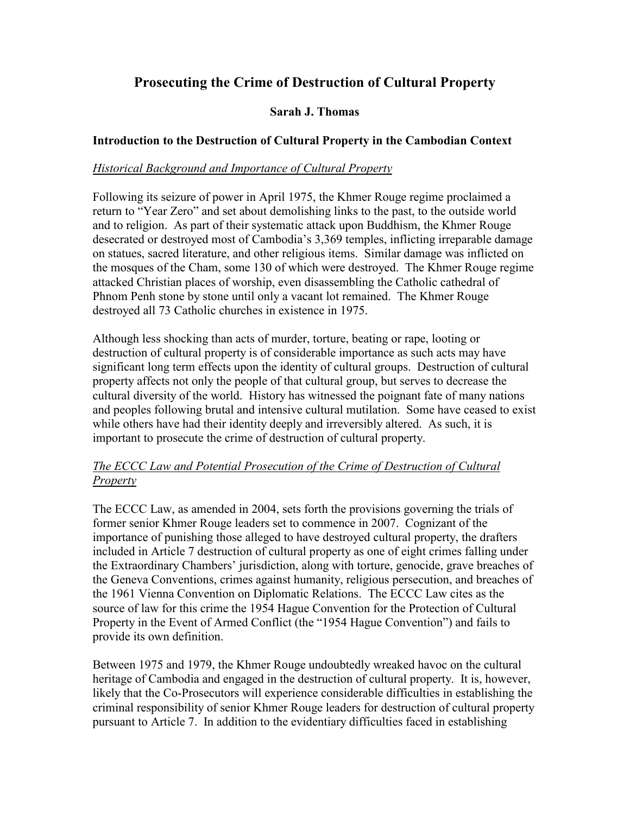# Prosecuting the Crime of Destruction of Cultural Property

# Sarah J. Thomas

#### Introduction to the Destruction of Cultural Property in the Cambodian Context

#### Historical Background and Importance of Cultural Property

Following its seizure of power in April 1975, the Khmer Rouge regime proclaimed a return to "Year Zero" and set about demolishing links to the past, to the outside world and to religion. As part of their systematic attack upon Buddhism, the Khmer Rouge desecrated or destroyed most of Cambodia's 3,369 temples, inflicting irreparable damage on statues, sacred literature, and other religious items. Similar damage was inflicted on the mosques of the Cham, some 130 of which were destroyed. The Khmer Rouge regime attacked Christian places of worship, even disassembling the Catholic cathedral of Phnom Penh stone by stone until only a vacant lot remained. The Khmer Rouge destroyed all 73 Catholic churches in existence in 1975.

Although less shocking than acts of murder, torture, beating or rape, looting or destruction of cultural property is of considerable importance as such acts may have significant long term effects upon the identity of cultural groups. Destruction of cultural property affects not only the people of that cultural group, but serves to decrease the cultural diversity of the world. History has witnessed the poignant fate of many nations and peoples following brutal and intensive cultural mutilation. Some have ceased to exist while others have had their identity deeply and irreversibly altered. As such, it is important to prosecute the crime of destruction of cultural property.

# The ECCC Law and Potential Prosecution of the Crime of Destruction of Cultural Property

The ECCC Law, as amended in 2004, sets forth the provisions governing the trials of former senior Khmer Rouge leaders set to commence in 2007. Cognizant of the importance of punishing those alleged to have destroyed cultural property, the drafters included in Article 7 destruction of cultural property as one of eight crimes falling under the Extraordinary Chambers' jurisdiction, along with torture, genocide, grave breaches of the Geneva Conventions, crimes against humanity, religious persecution, and breaches of the 1961 Vienna Convention on Diplomatic Relations. The ECCC Law cites as the source of law for this crime the 1954 Hague Convention for the Protection of Cultural Property in the Event of Armed Conflict (the "1954 Hague Convention") and fails to provide its own definition.

Between 1975 and 1979, the Khmer Rouge undoubtedly wreaked havoc on the cultural heritage of Cambodia and engaged in the destruction of cultural property. It is, however, likely that the Co-Prosecutors will experience considerable difficulties in establishing the criminal responsibility of senior Khmer Rouge leaders for destruction of cultural property pursuant to Article 7. In addition to the evidentiary difficulties faced in establishing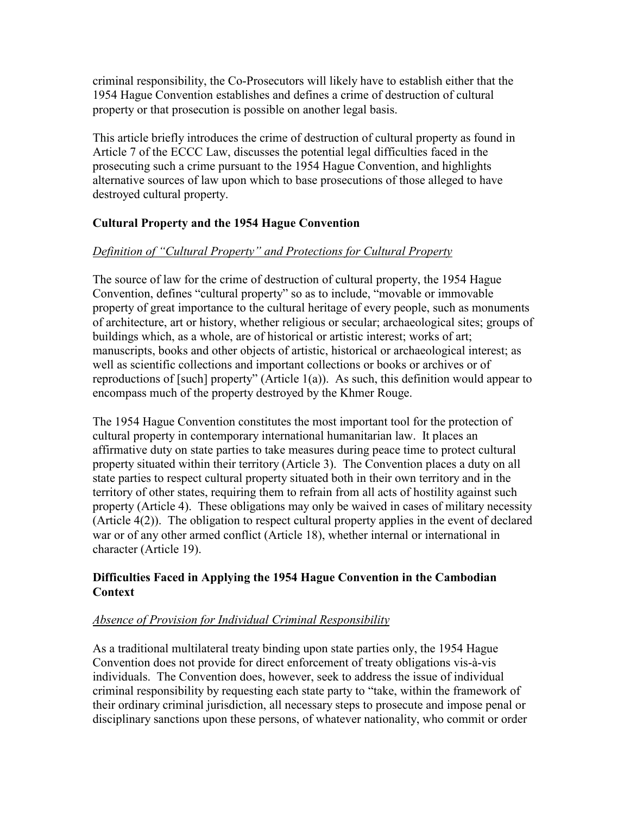criminal responsibility, the Co-Prosecutors will likely have to establish either that the 1954 Hague Convention establishes and defines a crime of destruction of cultural property or that prosecution is possible on another legal basis.

This article briefly introduces the crime of destruction of cultural property as found in Article 7 of the ECCC Law, discusses the potential legal difficulties faced in the prosecuting such a crime pursuant to the 1954 Hague Convention, and highlights alternative sources of law upon which to base prosecutions of those alleged to have destroyed cultural property.

# Cultural Property and the 1954 Hague Convention

# Definition of "Cultural Property" and Protections for Cultural Property

The source of law for the crime of destruction of cultural property, the 1954 Hague Convention, defines "cultural property" so as to include, "movable or immovable property of great importance to the cultural heritage of every people, such as monuments of architecture, art or history, whether religious or secular; archaeological sites; groups of buildings which, as a whole, are of historical or artistic interest; works of art; manuscripts, books and other objects of artistic, historical or archaeological interest; as well as scientific collections and important collections or books or archives or of reproductions of [such] property" (Article 1(a)). As such, this definition would appear to encompass much of the property destroyed by the Khmer Rouge.

The 1954 Hague Convention constitutes the most important tool for the protection of cultural property in contemporary international humanitarian law. It places an affirmative duty on state parties to take measures during peace time to protect cultural property situated within their territory (Article 3). The Convention places a duty on all state parties to respect cultural property situated both in their own territory and in the territory of other states, requiring them to refrain from all acts of hostility against such property (Article 4). These obligations may only be waived in cases of military necessity (Article 4(2)). The obligation to respect cultural property applies in the event of declared war or of any other armed conflict (Article 18), whether internal or international in character (Article 19).

# Difficulties Faced in Applying the 1954 Hague Convention in the Cambodian **Context**

# Absence of Provision for Individual Criminal Responsibility

As a traditional multilateral treaty binding upon state parties only, the 1954 Hague Convention does not provide for direct enforcement of treaty obligations vis-à-vis individuals. The Convention does, however, seek to address the issue of individual criminal responsibility by requesting each state party to "take, within the framework of their ordinary criminal jurisdiction, all necessary steps to prosecute and impose penal or disciplinary sanctions upon these persons, of whatever nationality, who commit or order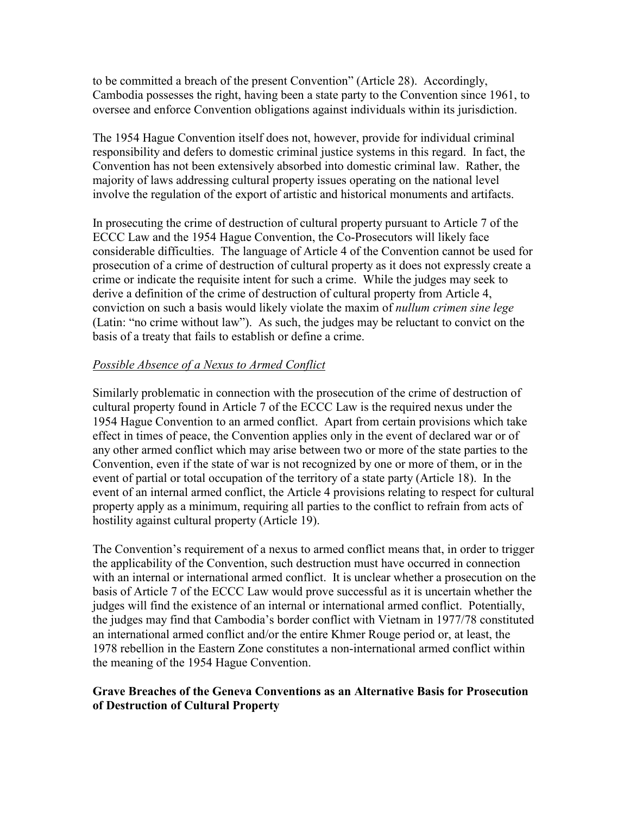to be committed a breach of the present Convention" (Article 28). Accordingly, Cambodia possesses the right, having been a state party to the Convention since 1961, to oversee and enforce Convention obligations against individuals within its jurisdiction.

The 1954 Hague Convention itself does not, however, provide for individual criminal responsibility and defers to domestic criminal justice systems in this regard. In fact, the Convention has not been extensively absorbed into domestic criminal law. Rather, the majority of laws addressing cultural property issues operating on the national level involve the regulation of the export of artistic and historical monuments and artifacts.

In prosecuting the crime of destruction of cultural property pursuant to Article 7 of the ECCC Law and the 1954 Hague Convention, the Co-Prosecutors will likely face considerable difficulties. The language of Article 4 of the Convention cannot be used for prosecution of a crime of destruction of cultural property as it does not expressly create a crime or indicate the requisite intent for such a crime. While the judges may seek to derive a definition of the crime of destruction of cultural property from Article 4, conviction on such a basis would likely violate the maxim of *nullum crimen sine lege* (Latin: "no crime without law"). As such, the judges may be reluctant to convict on the basis of a treaty that fails to establish or define a crime.

#### Possible Absence of a Nexus to Armed Conflict

Similarly problematic in connection with the prosecution of the crime of destruction of cultural property found in Article 7 of the ECCC Law is the required nexus under the 1954 Hague Convention to an armed conflict. Apart from certain provisions which take effect in times of peace, the Convention applies only in the event of declared war or of any other armed conflict which may arise between two or more of the state parties to the Convention, even if the state of war is not recognized by one or more of them, or in the event of partial or total occupation of the territory of a state party (Article 18). In the event of an internal armed conflict, the Article 4 provisions relating to respect for cultural property apply as a minimum, requiring all parties to the conflict to refrain from acts of hostility against cultural property (Article 19).

The Convention's requirement of a nexus to armed conflict means that, in order to trigger the applicability of the Convention, such destruction must have occurred in connection with an internal or international armed conflict. It is unclear whether a prosecution on the basis of Article 7 of the ECCC Law would prove successful as it is uncertain whether the judges will find the existence of an internal or international armed conflict. Potentially, the judges may find that Cambodia's border conflict with Vietnam in 1977/78 constituted an international armed conflict and/or the entire Khmer Rouge period or, at least, the 1978 rebellion in the Eastern Zone constitutes a non-international armed conflict within the meaning of the 1954 Hague Convention.

#### Grave Breaches of the Geneva Conventions as an Alternative Basis for Prosecution of Destruction of Cultural Property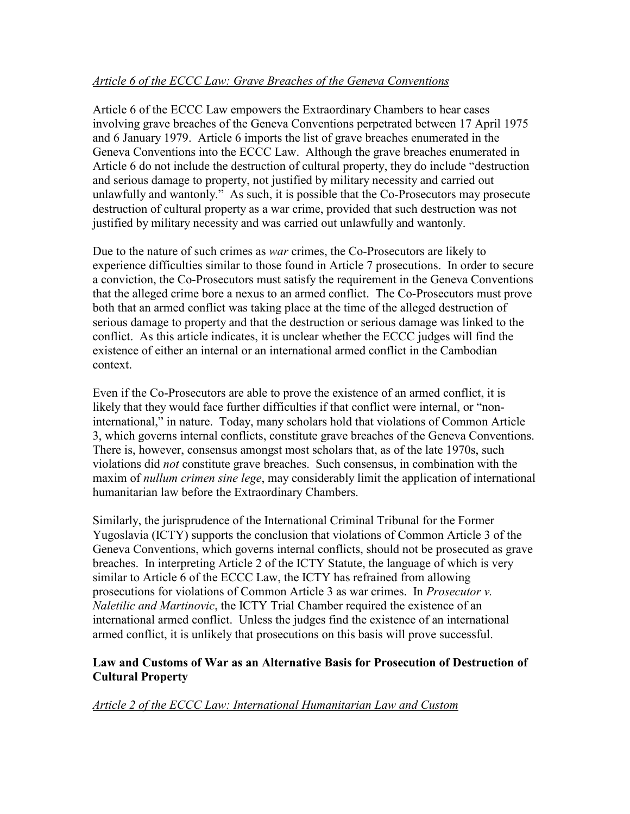# Article 6 of the ECCC Law: Grave Breaches of the Geneva Conventions

Article 6 of the ECCC Law empowers the Extraordinary Chambers to hear cases involving grave breaches of the Geneva Conventions perpetrated between 17 April 1975 and 6 January 1979. Article 6 imports the list of grave breaches enumerated in the Geneva Conventions into the ECCC Law. Although the grave breaches enumerated in Article 6 do not include the destruction of cultural property, they do include "destruction and serious damage to property, not justified by military necessity and carried out unlawfully and wantonly." As such, it is possible that the Co-Prosecutors may prosecute destruction of cultural property as a war crime, provided that such destruction was not justified by military necessity and was carried out unlawfully and wantonly.

Due to the nature of such crimes as *war* crimes, the Co-Prosecutors are likely to experience difficulties similar to those found in Article 7 prosecutions. In order to secure a conviction, the Co-Prosecutors must satisfy the requirement in the Geneva Conventions that the alleged crime bore a nexus to an armed conflict. The Co-Prosecutors must prove both that an armed conflict was taking place at the time of the alleged destruction of serious damage to property and that the destruction or serious damage was linked to the conflict. As this article indicates, it is unclear whether the ECCC judges will find the existence of either an internal or an international armed conflict in the Cambodian context.

Even if the Co-Prosecutors are able to prove the existence of an armed conflict, it is likely that they would face further difficulties if that conflict were internal, or "noninternational," in nature. Today, many scholars hold that violations of Common Article 3, which governs internal conflicts, constitute grave breaches of the Geneva Conventions. There is, however, consensus amongst most scholars that, as of the late 1970s, such violations did not constitute grave breaches. Such consensus, in combination with the maxim of *nullum crimen sine lege*, may considerably limit the application of international humanitarian law before the Extraordinary Chambers.

Similarly, the jurisprudence of the International Criminal Tribunal for the Former Yugoslavia (ICTY) supports the conclusion that violations of Common Article 3 of the Geneva Conventions, which governs internal conflicts, should not be prosecuted as grave breaches. In interpreting Article 2 of the ICTY Statute, the language of which is very similar to Article 6 of the ECCC Law, the ICTY has refrained from allowing prosecutions for violations of Common Article 3 as war crimes. In Prosecutor v. Naletilic and Martinovic, the ICTY Trial Chamber required the existence of an international armed conflict. Unless the judges find the existence of an international armed conflict, it is unlikely that prosecutions on this basis will prove successful.

#### Law and Customs of War as an Alternative Basis for Prosecution of Destruction of Cultural Property

Article 2 of the ECCC Law: International Humanitarian Law and Custom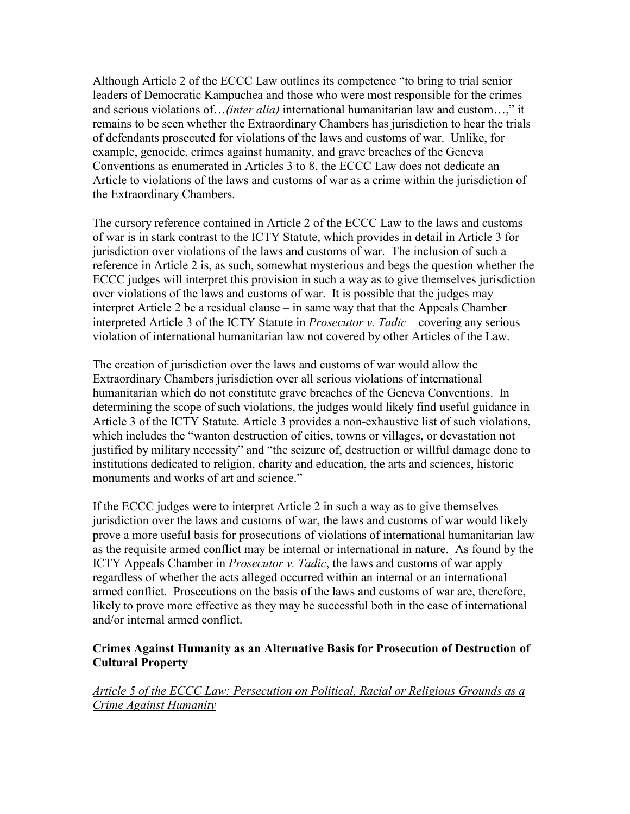Although Article 2 of the ECCC Law outlines its competence "to bring to trial senior leaders of Democratic Kampuchea and those who were most responsible for the crimes and serious violations of…(inter alia) international humanitarian law and custom…," it remains to be seen whether the Extraordinary Chambers has jurisdiction to hear the trials of defendants prosecuted for violations of the laws and customs of war. Unlike, for example, genocide, crimes against humanity, and grave breaches of the Geneva Conventions as enumerated in Articles 3 to 8, the ECCC Law does not dedicate an Article to violations of the laws and customs of war as a crime within the jurisdiction of the Extraordinary Chambers.

The cursory reference contained in Article 2 of the ECCC Law to the laws and customs of war is in stark contrast to the ICTY Statute, which provides in detail in Article 3 for jurisdiction over violations of the laws and customs of war. The inclusion of such a reference in Article 2 is, as such, somewhat mysterious and begs the question whether the ECCC judges will interpret this provision in such a way as to give themselves jurisdiction over violations of the laws and customs of war. It is possible that the judges may interpret Article 2 be a residual clause – in same way that that the Appeals Chamber interpreted Article 3 of the ICTY Statute in Prosecutor v. Tadic – covering any serious violation of international humanitarian law not covered by other Articles of the Law.

The creation of jurisdiction over the laws and customs of war would allow the Extraordinary Chambers jurisdiction over all serious violations of international humanitarian which do not constitute grave breaches of the Geneva Conventions. In determining the scope of such violations, the judges would likely find useful guidance in Article 3 of the ICTY Statute. Article 3 provides a non-exhaustive list of such violations, which includes the "wanton destruction of cities, towns or villages, or devastation not justified by military necessity" and "the seizure of, destruction or willful damage done to institutions dedicated to religion, charity and education, the arts and sciences, historic monuments and works of art and science."

If the ECCC judges were to interpret Article 2 in such a way as to give themselves jurisdiction over the laws and customs of war, the laws and customs of war would likely prove a more useful basis for prosecutions of violations of international humanitarian law as the requisite armed conflict may be internal or international in nature. As found by the ICTY Appeals Chamber in Prosecutor v. Tadic, the laws and customs of war apply regardless of whether the acts alleged occurred within an internal or an international armed conflict. Prosecutions on the basis of the laws and customs of war are, therefore, likely to prove more effective as they may be successful both in the case of international and/or internal armed conflict.

#### Crimes Against Humanity as an Alternative Basis for Prosecution of Destruction of Cultural Property

Article 5 of the ECCC Law: Persecution on Political, Racial or Religious Grounds as a Crime Against Humanity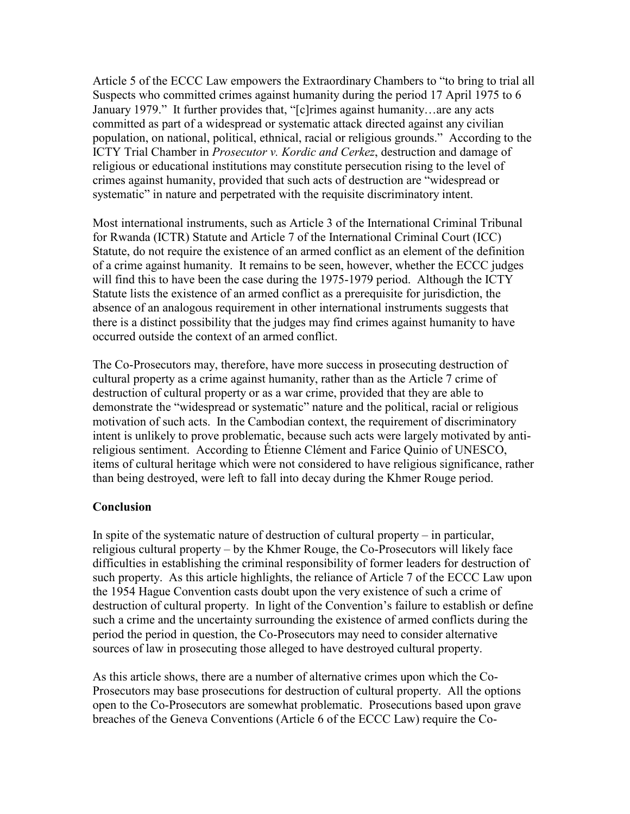Article 5 of the ECCC Law empowers the Extraordinary Chambers to "to bring to trial all Suspects who committed crimes against humanity during the period 17 April 1975 to 6 January 1979." It further provides that, "[c]rimes against humanity…are any acts committed as part of a widespread or systematic attack directed against any civilian population, on national, political, ethnical, racial or religious grounds." According to the ICTY Trial Chamber in *Prosecutor v. Kordic and Cerkez*, destruction and damage of religious or educational institutions may constitute persecution rising to the level of crimes against humanity, provided that such acts of destruction are "widespread or systematic" in nature and perpetrated with the requisite discriminatory intent.

Most international instruments, such as Article 3 of the International Criminal Tribunal for Rwanda (ICTR) Statute and Article 7 of the International Criminal Court (ICC) Statute, do not require the existence of an armed conflict as an element of the definition of a crime against humanity. It remains to be seen, however, whether the ECCC judges will find this to have been the case during the 1975-1979 period. Although the ICTY Statute lists the existence of an armed conflict as a prerequisite for jurisdiction, the absence of an analogous requirement in other international instruments suggests that there is a distinct possibility that the judges may find crimes against humanity to have occurred outside the context of an armed conflict.

The Co-Prosecutors may, therefore, have more success in prosecuting destruction of cultural property as a crime against humanity, rather than as the Article 7 crime of destruction of cultural property or as a war crime, provided that they are able to demonstrate the "widespread or systematic" nature and the political, racial or religious motivation of such acts. In the Cambodian context, the requirement of discriminatory intent is unlikely to prove problematic, because such acts were largely motivated by antireligious sentiment. According to Étienne Clément and Farice Quinio of UNESCO, items of cultural heritage which were not considered to have religious significance, rather than being destroyed, were left to fall into decay during the Khmer Rouge period.

# Conclusion

In spite of the systematic nature of destruction of cultural property – in particular, religious cultural property – by the Khmer Rouge, the Co-Prosecutors will likely face difficulties in establishing the criminal responsibility of former leaders for destruction of such property. As this article highlights, the reliance of Article 7 of the ECCC Law upon the 1954 Hague Convention casts doubt upon the very existence of such a crime of destruction of cultural property. In light of the Convention's failure to establish or define such a crime and the uncertainty surrounding the existence of armed conflicts during the period the period in question, the Co-Prosecutors may need to consider alternative sources of law in prosecuting those alleged to have destroyed cultural property.

As this article shows, there are a number of alternative crimes upon which the Co-Prosecutors may base prosecutions for destruction of cultural property. All the options open to the Co-Prosecutors are somewhat problematic. Prosecutions based upon grave breaches of the Geneva Conventions (Article 6 of the ECCC Law) require the Co